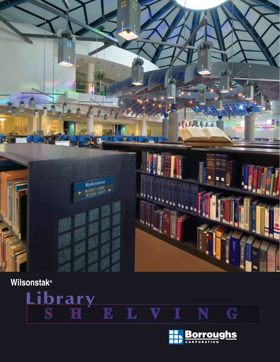

# **Wilsonstak®**



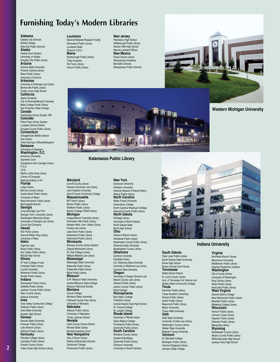# **Furnishing Today's Modern Libraries**

### **Alabama**

Opilaka City Schools Mobile College Elba City Public Schools **Alaska**

### Alaska Court System University of Alaska

Douglas City Public Library **Arizona** Arizona State University Phoenix Central Library

#### Mesa Public Library University of Arizona

**Arkansas** University of Arkansas Law Library Bentonville Public Library

#### Chafin Junior High School **California**

Apple Computer City of Riverside/Branch Libraries Belle College Public Library

San Francisco State College **Canada** Cambridge Library Guelph, ON

**Colorado** Pikes Peak Library System Loveland School District

Douglas County Public Library **Connecticut** Schaghticoke Middle School

Ives Library Chief Attorney's Office/Wallingford **Delaware**

### University of Delaware **Washington, D.C.** American University Supreme Court

Georgetown Univ./Lauinger Library F.D.A. I.R.S. Martin Luther King Library Library of Congress National Gallery of Art **Florida** Largo Library Monroe County Library Austin-Davis Public Library University of Miami West Hernando Public Library Morningside Branch **Georgia**

Long Aldredge Law Firm Georgia Tech. University Library Washington Memorial Library University of Georgia Law Library Coca-Cola Company **Hawaii**

Hilo Public Library Samuel Wilder King Library University of Maui **Idaho**

### Argonne Labs

Boise Public Library Sun Valley Public Library McCall High School **Illinois**

#### IIT Kent College of Law Hinsdale Public Library

Loyola University Westmont Public Library Skokie Public Library

#### **Indiana** Rensselaer Public Library

DeMotte Public Library Jackson County Public Library Allen County Library Indiana University

### **Iowa**

Iowa Valley Community College Waterloo Public Library Iowa State University Noulton High School **Kansas** Kansas State University

Chanute Public Library Lebo Branch Library Altamont Public Library **Kentucky**

### Pikeville College Library Lexington Public Library Graves County Library

Tates Creek High School Library

**Louisiana** National Wetlands Research Facility

**Maryland** Carroll County Library

**Michigan**

Cooley Law Library

Kalamazoo Public Library Parchment Public Library **Minnesota** Ramsey County Library System Dakota-Wentworth Library St. Olaf College Library William Mitchell Law Library **Mississippi** Mississippi State University Batesville Public Library Poplarville Public Library Biloxi Public Library **Missouri**

S.W. Missouri State University Central Missouri State College Missouri Historical Society **Montana** Carroll College Montana State University Flathead County Free Library University of Montana **Nebraska** Alliance Public Library University of Nebraska Trinity Lutheran School **Nevada**

Clark County School District Nevada State Library Nevada Supreme Court **New Hampshire** City of Dover Library Nashua Elementary Schools Dartmouth College Portsmouth Public Library

John Hopkins University

**Massachusetts** MIT Rotch Library Boston Public Library Waltham Public Library

Shreveport Public Library Louisiana State Chevron U.S.A. **Maine**

Scarborough Public Library Traip Academy Old Town Library Auburn Public Library

### **New Jersey**

Plainsboro High School Hillsborough Public Library Warren Hills High School Warner-Lambert Offices **New Mexico** Clovis Carver Library Albuquerque Academy Bernalillo Schools Albuquerque Public Schools



**Western Michigan University**



**Kalamazoo Public Library**

### **New York**

Syracuse University Clarkson University American Museum of Natural History Albany Public Library **North Carolina** Wake Forest University Greensboro College North Carolina Wesleyan College Haywood County Public Library **North Dakota** Heritage Library University of North Dakota North Dakota State North High School Howard University Law Library Carroll County Community College Boston College O'Neill Library Independence Township Library Rochester Hills Public Library Western Mich. Univ. Waldo Library Lake Orion Public Library

**Ohio** Fairburn Branch Library Ashtabula Public Library Washington County Public Library Shawnee State University Muskingham County Library **Oklahoma** Cameron University

Chedotah Library S.E. Oklahoma State University University of Oklahoma Law Library Cameron State University **Oregon**

University of Oregon Science Lab. Marion County Law Library Ashland Public Library Jackon County Public Library

**Reed Colled Pennsylvania**

Bryn Mawr College Tredyffrin Library Central Dawhin East High School

St. Vincent College St. Joseph College **Rhode Island**

University of Rhode Island Salve Regina College Providence Public Library

Greenville Public Library **South Carolina** Richland County Library System-6 Buildings

Greenville Public Library Clemson University University of South Carolina



### **Indiana University**

### **South Dakota**

Clear Lake Public Library South Dakota State University Burke High School Brown County Court House

**Tennessee** Webb School District

B. Lount County Library Univ. of Tennessee Vet. Science Lab. Shelby State Community College **Texas**

Kaufman Public Library

Texas Southern University Denton Public Library Austin Public Library Beaumont Public Library Baylor University Texas A&M University

### **Utah**

Utah State University University of Utah Law Library Washington County Library Weber State University Brigham Young University **Vermont** St. Michaels College Burlington Public Library Vermont Regional Library Johnson State College

**Virginia** Northside Branch Library

Marymount University Middletown Public Library Virginia Polytechnic Institute

**Washington** City of Lacey Library University of Washington

King County Library Kelso Public Library Anacortes Public Library

**West Virginia** David & Elkins College

New Martinsville Public Library Bluefield Public Library

Wheeling College Library **Wisconsin** Horicon Public Library

Johnson Creek Library Superior Public Library Oshkosh Public Library Marquette Library **Wyoming**

Sweetwater County Library Albany County Public Library White Mountain High School Jackson Hole High School

**2**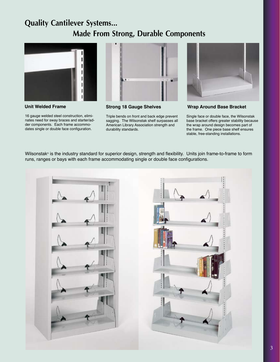# **Quality Cantilever Systems... Made From Strong, Durable Components**



16 gauge welded steel construction, eliminates need for sway braces and starter/adder components. Each frame accommodates single or double face configuration.



**Unit Welded Frame Strong 18 Gauge Shelves Wrap Around Base Bracket**

Triple bends on front and back edge prevent sagging. The Wilsonstak shelf surpasses all American Library Association strength and durability standards.



Single face or double face, the Wilsonstak base bracket offers greater stability because the wrap around design becomes part of the frame. One piece base shelf ensures stable, free-standing installations.

Wilsonstak® is the industry standard for superior design, strength and flexibility. Units join frame-to-frame to form runs, ranges or bays with each frame accommodating single or double face configurations.

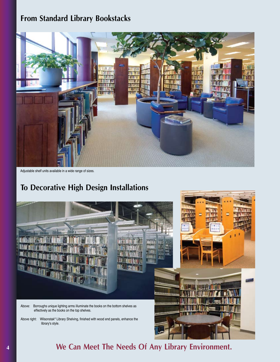# **From Standard Library Bookstacks**



Adjustable shelf units available in a wide range of sizes.

# **To Decorative High Design Installations**



**We Can Meet The Needs Of Any Library Environment.**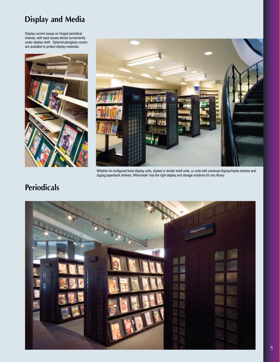# **Display and Media**

Display current issues on hinged periodical shelves, with back issues stored conveniently under display shelf. Optional plexiglass covers are available to protect display materials.





Whether its configured book display units, sloped or divider shelf units, or units with universal display/media shelves and zigzag paperback shelves, Wilsonstak® has the right display and storage solutions for any library.

# **Periodicals**

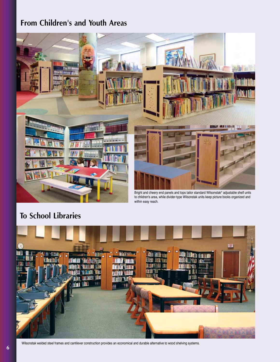# **From Children's and Youth Areas**



to children's area, while divider-type Wilsonstak units keep picture books organized and within easy reach.

# **To School Libraries**



Wilsonstak welded steel frames and cantilever construction provides an economical and durable alternative to wood shelving systems.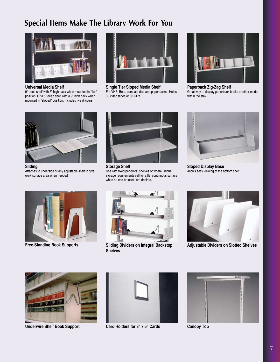# **Special Items Make The Library Work For You**



**Universal Media Shelf**

9" deep shelf with 5" high back when mounted in "flat" position. Or a 5" deep shelf with a 9" high back when mounted in "sloped" position. Includes five dividers.



**Single Tier Sloped Media Shelf** For VHS, Beta, compact disc and paperbacks. Holds 30 video tapes or 80 CD's.



**Paperback Zig-Zag Shelf** Great way to display paperback books or other media within the stak.



**Sliding** Attaches to underside of any adjustable shelf to give work surface area when needed.



**Storage Shelf** Use with fixed periodical shelves or where unique storage requirements call for a flat continuous surface when no end brackets are desired.



**Sloped Display Base** Allows easy viewing of the bottom shelf.





**Free-Standing Book Supports Sliding Dividers on Integral Backstop Shelves**



**Adjustable Dividers on Slotted Shelves**



**Underwire Shelf Book Support Card Holders for 3" x 5" Cards**





**Canopy Top**